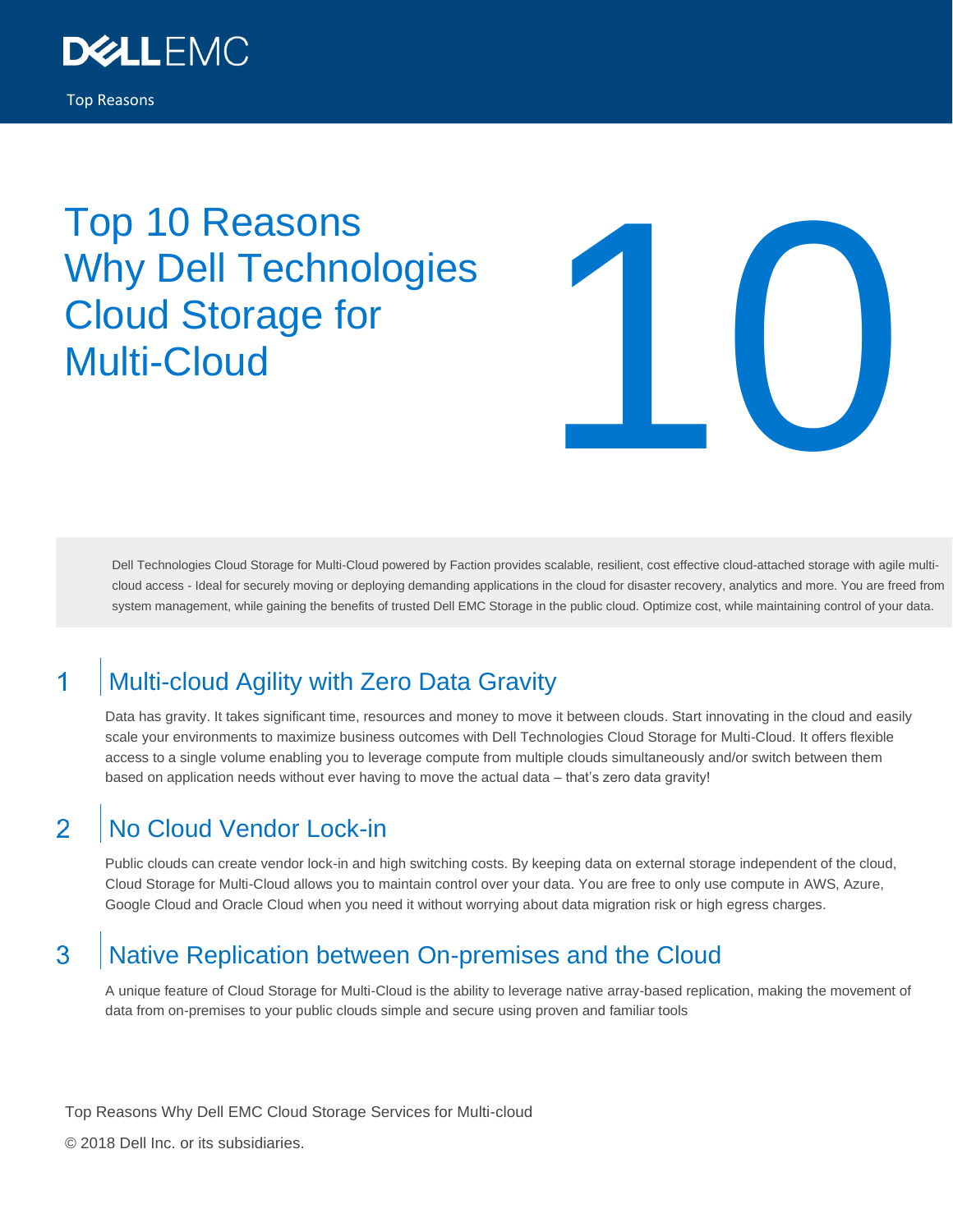

# Top 10 Reasons Why Dell Technologies Cloud Storage for



Dell Technologies Cloud Storage for Multi-Cloud powered by Faction provides scalable, resilient, cost effective cloud-attached storage with agile multicloud access - Ideal for securely moving or deploying demanding applications in the cloud for disaster recovery, analytics and more. You are freed from system management, while gaining the benefits of trusted Dell EMC Storage in the public cloud. Optimize cost, while maintaining control of your data.

# Multi-cloud Agility with Zero Data Gravity 1

Data has gravity. It takes significant time, resources and money to move it between clouds. Start innovating in the cloud and easily scale your environments to maximize business outcomes with Dell Technologies Cloud Storage for Multi-Cloud. It offers flexible access to a single volume enabling you to leverage compute from multiple clouds simultaneously and/or switch between them based on application needs without ever having to move the actual data - that's zero data gravity!

## $\overline{\mathcal{P}}$ No Cloud Vendor Lock-in

Public clouds can create vendor lock-in and high switching costs. By keeping data on external storage independent of the cloud, Cloud Storage for Multi-Cloud allows you to maintain control over your data. You are free to only use compute in AWS, Azure, Google Cloud and Oracle Cloud when you need it without worrying about data migration risk or high egress charges.

#### 3 Native Replication between On-premises and the Cloud

A unique feature of Cloud Storage for Multi-Cloud is the ability to leverage native array-based replication, making the movement of data from on-premises to your public clouds simple and secure using proven and familiar tools

Top Reasons Why Dell EMC Cloud Storage Services for Multi-cloud

© 2018 Dell Inc. or its subsidiaries.